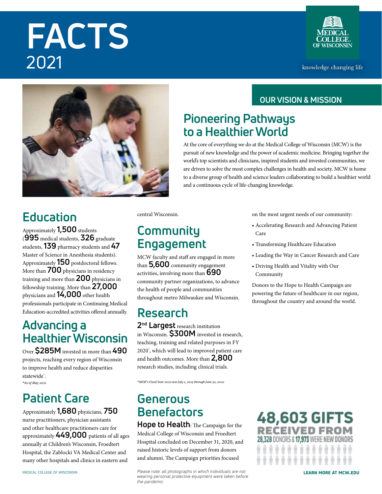# **FACTS** 2021



knowledge changing life



## **Education**

Approximately **1,500** students (**995** medical students, **326** graduate students, **139** pharmacy students and **47** Master of Science in Anesthesia students). Approximately **150** postdoctoral fellows. More than **700** physicians in residency training and more than **200** physicians in fellowship training. More than **27,000** physicians and **14,000** other health professionals participate in Continuing Medical Education-accredited activities offered annually.

### **Advancing a Healthier Wisconsin**

Over **\$285M** invested in more than **490** projects, reaching every region of Wisconsin to improve health and reduce disparities statewide\* . *\*As of May 2021*

### **Patient Care**

Approximately **1,680** physicians, **750** nurse practitioners, physician assistants and other healthcare practitioners care for approximately **449,000** patients of all ages annually at Children's Wisconsin, Froedtert Hospital, the Zablocki VA Medical Center and many other hospitals and clinics in eastern and

central Wisconsin.

### **Community Engagement**

MCW faculty and staff are engaged in more than **5,600** community engagement activities, involving more than **690** community partner organizations, to advance the health of people and communities throughout metro Milwaukee and Wisconsin.

### **Research**

**2nd Largest** research institution in Wisconsin. **\$300M** invested in research, teaching, training and related purposes in FY 2020\* , which will lead to improved patient care and health outcomes. More than **2,800** research studies, including clinical trials.

*\*MCW's Fiscal Year 2020 was July 1, 2019 through June 30, 2020*

### **Generous Benefactors**

**Hope to Health**: The Campaign for the Medical College of Wisconsin and Froedtert Hospital concluded on December 31, 2020, and raised historic levels of support from donors and alumni. The Campaign priorities focused

medical college of wisconsin **Please note: all photographs in which individuals are not LEARN MORE AT MCW.EDU** *wearing personal protective equipment were taken before the pandemic.*

### **OUR VISION & MISSION**

### **Pioneering Pathways to a Healthier World**

At the core of everything we do at the Medical College of Wisconsin (MCW) is the pursuit of new knowledge and the power of academic medicine. Bringing together the world's top scientists and clinicians, inspired students and invested communities, we are driven to solve the most complex challenges in health and society. MCW is home to a diverse group of health and science leaders collaborating to build a healthier world and a continuous cycle of life-changing knowledge.

on the most urgent needs of our community:

- Accelerating Research and Advancing Patient Care
- Transforming Healthcare Education
- Leading the Way in Cancer Research and Care
- Driving Health and Vitality with Our Community

Donors to the Hope to Health Campaign are powering the future of healthcare in our region, throughout the country and around the world.

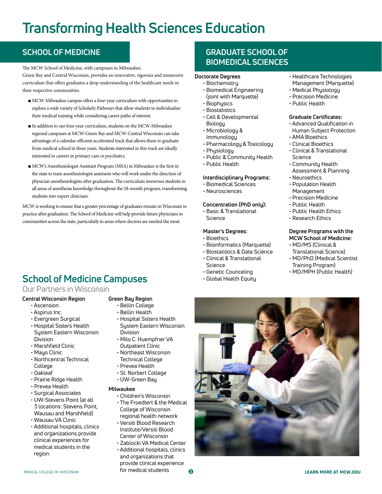# **Transforming Health Sciences Education**

The MCW School of Medicine, with campuses in Milwaukee,

Green Bay and Central Wisconsin, provides an innovative, rigorous and immersive curriculum that offers graduates a deep understanding of the healthcare needs in their respective communities.

- MCW-Milwaukee campus offers a four-year curriculum with opportunities to explore a wide variety of Scholarly Pathways that allow students to individualize their medical training while considering career paths of interest.
- In addition to our four-year curriculum, students on the MCW-Milwaukee regional campuses at MCW-Green Bay and MCW-Central Wisconsin can take advantage of a calendar-efficient accelerated track that allows them to graduate from medical school in three years. Students interested in this track are ideally interested in careers in primary care or psychiatry.
- MCW's Anesthesiologist Assistant Program (MSA) in Milwaukee is the first in the state to train anesthesiologist assistants who will work under the direction of physician anesthesiologists after graduation. The curriculum immerses students in all areas of anesthesia knowledge throughout the 28-month program, transforming students into expert clinicians.

MCW is working to ensure that a greater percentage of graduates remain in Wisconsin to practice after graduation. The School of Medicine will help provide future physicians in communities across the state, particularly in areas where doctors are needed the most.

### **School of Medicine Campuses**

### Our Partners in Wisconsin

### **Central Wisconsin Region**

- Ascension
- Aspirus Inc.
- Evergreen Surgical
- Hospital Sisters Health System Eastern Wisconsin Division
- Marshfield Clinic
- Mayo Clinic
- Northcentral Technical **College**
- Oakleaf
- Prairie Ridge Health
- Prevea Health
- Surgical Associates
- UW-Stevens Point (at all 3 locations: Stevens Point, Wausau and Marshfield)
- Wausau VA Clinic
- Additional hospitals, clinics and organizations provide clinical experiences for medical students in the region

### **Green Bay Region**

- Bellin College
- Bellin Health
- Hospital Sisters Health System Eastern Wisconsin Division
- Milo C. Huempfner VA Outpatient Clinic
- Northeast Wisconsin Technical College
- Prevea Health
- St. Norbert College
- UW-Green Bay

#### **Milwaukee**

- Children's Wisconsin
- The Froedtert & the Medical College of Wisconsin regional health network
- Versiti Blood Research Institute/Versiti Blood Center of Wisconsin
- Zablocki VA Medical Center
- Additional hospitals, clinics
- and organizations that provide clinical experience MEDICAL COLLEGE OF WISCONSIN **Formedical students and analysis of the medical students** and the more at more at mcw.edu

### **SCHOOL OF MEDICINE GRADUATE SCHOOL OF BIOMEDICAL SCIENCES**

#### **Doctorate Degrees**

- Biochemistry
- Biomedical Engineering (joint with Marquette)
- Biophysics
- Biostatistics
- Cell & Developmental Biology
- Microbiology & Immunology
- Pharmacology & Toxicology
- Physiology
- Public & Community Health
- Public Health

#### **Interdisciplinary Programs:**

- Biomedical Sciences
- Neurosciences

#### **Concentration (PhD only):**

• Basic & Translational Science

#### **Master's Degrees:**

- Bioethics
- Bioinformatics (Marquette) • Biostatistics & Data Science
- Clinical & Translational
- Science
- Genetic Counceling
- Global Health Equity
- Healthcare Technologies Management (Marquette)
- Medical Physiology
- Precision Medicine
- Public Health

### **Graduate Certificates:**

- Advanced Qualification in Human Subject Protection
- AMA Bioethics
- Clinical Bioethics
- Clinical & Translational Science
- Community Health Assessment & Planning
- Neuroethics
- Population Health Management
- Precision Medicine
- Public Health
- Public Health Ethics
- Research Ethics

#### **Degree Programs with the MCW School of Medicine:**

- MD/MS (Clinical & Translational Science)
- MD/PhD (Medical Scientist Training Program)
- MD/MPH (Public Health)



#### $\boldsymbol{\Omega}$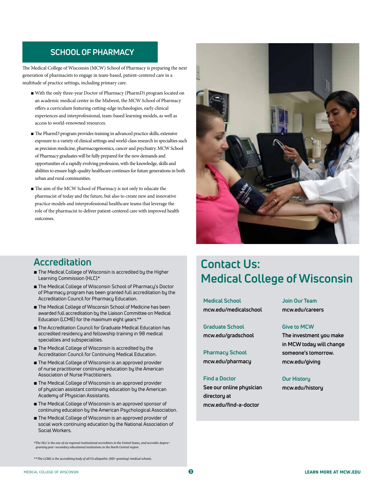### **SCHOOL OF PHARMACY**

The Medical College of Wisconsin (MCW) School of Pharmacy is preparing the next generation of pharmacists to engage in team-based, patient-centered care in a multitude of practice settings, including primary care.

- With the only three-year Doctor of Pharmacy (PharmD) program located on an academic medical center in the Midwest, the MCW School of Pharmacy offers a curriculum featuring cutting-edge technologies, early clinical experiences and interprofessional, team-based learning models, as well as access to world-renowned resources.
- The PharmD program provides training in advanced practice skills, extensive exposure to a variety of clinical settings and world-class research in specialties such as precision medicine, pharmacogenomics, cancer and psychiatry. MCW School of Pharmacy graduates will be fully prepared for the new demands and opportunities of a rapidly evolving profession, with the knowledge, skills and abilities to ensure high-quality healthcare continues for future generations in both urban and rural communities.
- The aim of the MCW School of Pharmacy is not only to educate the pharmacist of today and the future, but also to create new and innovative practice models and interprofessional healthcare teams that leverage the role of the pharmacist to deliver patient-centered care with improved health outcomes.



### **Accreditation**

- The Medical College of Wisconsin is accredited by the Higher Learning Commission (HLC).\*
- The Medical College of Wisconsin School of Pharmacy's Doctor of Pharmacy program has been granted full accreditation by the Accreditation Council for Pharmacy Education.
- The Medical College of Wisconsin School of Medicine has been awarded full accreditation by the Liaison Committee on Medical Education (LCME) for the maximum eight years.\*\*
- The Accreditation Council for Graduate Medical Education has accredited residency and fellowship training in 98 medical specialties and subspecialties.
- The Medical College of Wisconsin is accredited by the Accreditation Council for Continuing Medical Education.
- The Medical College of Wisconsin is an approved provider of nurse practitioner continuing education by the American Association of Nurse Practitioners.
- The Medical College of Wisconsin is an approved provider of physician assistant continuing education by the American Academy of Physician Assistants.
- The Medical College of Wisconsin is an approved sponsor of continuing education by the American Psychological Association.
- The Medical College of Wisconsin is an approved provider of social work continuing education by the National Association of Social Workers.

*\*The HLC is the one of six regional institutional accreditors in the United States, and accredits degreegranting post-secondary educational institutions in the North Central region.*

*\*\*The LCME is the accrediting body of all US allopathic (MD-granting) medical schools.*

### **Contact Us: Medical College of Wisconsin**

**Medical School mcw.edu/medicalschool**

**Graduate School mcw.edu/gradschool**

**Pharmacy School mcw.edu/pharmacy**

#### **Find a Doctor**

**See our online physician directory at mcw.edu/find-a-doctor**

**Join Our Team mcw.edu/careers**

#### **Give to MCW**

**The investment you make in MCW today will change someone's tomorrow. mcw.edu/giving**

**Our History mcw.edu/history**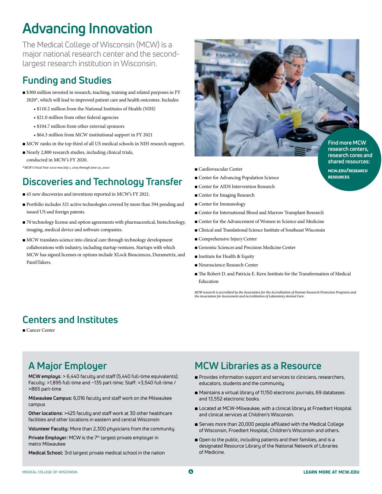# **Advancing Innovation**

The Medical College of Wisconsin (MCW) is a major national research center and the secondlargest research institution in Wisconsin.

### **Funding and Studies**

- \$300 million invested in research, teaching, training and related purposes in FY 2020\*, which will lead to improved patient care and health outcomes. Includes:
	- \$110.2 million from the National Institutes of Health (NIH)
	- \$21.0 million from other federal agencies
	- \$104.7 million from other external sponsors
	- \$64.3 million from MCW institutional support in FY 2021
- MCW ranks in the top third of all US medical schools in NIH research support.
- Nearly 2,800 research studies, including clinical trials, conducted in MCW's FY 2020.

*\*MCW's Fiscal Year 2020 was July 1, 2019 through June 30, 2020*

### **Discoveries and Technology Transfer**

- 45 new discoveries and inventions reported in MCW's FY 2021.
- Portfolio includes 321 active technologies covered by more than 594 pending and issued US and foreign patents.
- 70 technology license and option agreements with pharmaceutical, biotechnology, imaging, medical device and software companies.
- MCW translates science into clinical care through technology development collaborations with industry, including startup ventures. Startups with which MCW has signed licenses or options include XLock Biosciences, Durametrix, and PainSTakers.



- Cardiovascular Center
- Center for Advancing Population Science
- Center for AIDS Intervention Research
- Center for Imaging Research
- Center for Immunology
- Center for International Blood and Marrow Transplant Research
- Center for the Advancement of Women in Science and Medicine
- Clinical and Translational Science Institute of Southeast Wisconsin
- Comprehensive Injury Center
- Genomic Sciences and Precision Medicine Center
- Institute for Health & Equity
- Neuroscience Research Center
- The Robert D. and Patricia E. Kern Institute for the Transformation of Medical Education

*MCW research is accredited by the Association for the Accreditation of Human Research Protection Programs and the Association for Assessment and Accreditation of Laboratory Animal Care.*

### **Centers and Institutes**

■ Cancer Center

### **A Major Employer**

**MCW employs**: > 6,440 faculty and staff (5,440 full-time equivalents); Faculty: >1,895 full-time and ~135 part-time; Staff: >3,540 full-time / >865 part-time

**Milwaukee Campus:** 6,016 faculty and staff work on the Milwaukee campus

**Other locations:** >425 faculty and staff work at 30 other healthcare facilities and other locations in eastern and central Wisconsin

**Volunteer Faculty:** More than 2,300 physicians from the community

Private Employer: MCW is the 7<sup>th</sup> largest private employer in metro Milwaukee

**Medical School:** 3rd largest private medical school in the nation

### **MCW Libraries as a Resource**

- Provides information support and services to clinicians, researchers, educators, students and the community.
- Maintains a virtual library of 11,150 electronic journals, 69 databases and 13,552 electronic books.
- Located at MCW-Milwaukee, with a clinical library at Froedtert Hospital and clinical services at Children's Wisconsin.
- Serves more than 20,000 people affiliated with the Medical College of Wisconsin, Froedtert Hospital, Children's Wisconsin and others.
- Open to the public, including patients and their families, and is a designated Resource Library of the National Network of Libraries of Medicine.

**research centers, research cores and shared resources:** mcw.edu/research

resources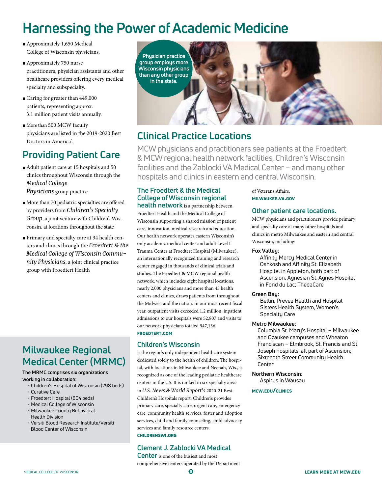# **Harnessing the Power of Academic Medicine**

- Approximately 1,650 Medical College of Wisconsin physicians.
- Approximately 750 nurse practitioners, physician assistants and other healthcare providers offering every medical specialty and subspecialty.
- Caring for greater than 449,000 patients, representing approx. 3.1 million patient visits annually.
- More than 500 MCW faculty physicians are listed in the 2019-2020 Best Doctors in America<sup>\*</sup>.

### **Providing Patient Care**

- Adult patient care at 15 hospitals and 50 clinics throughout Wisconsin through the *Medical College Physicians* group practice
- More than 70 pediatric specialties are offered by providers from *Children's Specialty Group*, a joint venture with Children's Wisconsin, at locations throughout the state
- Primary and specialty care at 34 health centers and clinics through the *Froedtert & the Medical College of Wisconsin Community Physicians*, a joint clinical practice group with Froedtert Health

### **Milwaukee Regional Medical Center (MRMC)**

#### **The MRMC comprises six organizations working in collaboration:**

- Children's Hospital of Wisconsin (298 beds) • Curative Care
- Froedtert Hospital (604 beds)
- Medical College of Wisconsin
- Milwaukee County Behavioral Health Division
- Versiti Blood Research Institute/Versiti Blood Center of Wisconsin



### **Clinical Practice Locations**

MCW physicians and practitioners see patients at the Froedtert & MCW regional health network facilities, Children's Wisconsin facilities and the Zablocki VA Medical Center – and many other hospitals and clinics in eastern and central Wisconsin.

### **The Froedtert & the Medical College of Wisconsin regional**

**health network** is a partnership between Froedtert Health and the Medical College of Wisconsin supporting a shared mission of patient care, innovation, medical research and education. Our health network operates eastern Wisconsin's only academic medical center and adult Level I Trauma Center at Froedtert Hospital (Milwaukee), an internationally recognized training and research center engaged in thousands of clinical trials and studies. The Froedtert & MCW regional health network, which includes eight hospital locations, nearly 2,000 physicians and more than 45 health centers and clinics, draws patients from throughout the Midwest and the nation. In our most recent fiscal year, outpatient visits exceeded 1.2 million, inpatient admissions to our hospitals were 52,807 and visits to our network physicians totaled 947,136. froedtert.com

### **Children's Wisconsin**

is the region's only independent healthcare system dedicated solely to the health of children. The hospital, with locations in Milwaukee and Neenah, Wis., is recognized as one of the leading pediatric healthcare centers in the US. It is ranked in six specialty areas in *U.S. News & World Report's* 2020-21 Best Children's Hospitals report. Children's provides primary care, specialty care, urgent care, emergency care, community health services, foster and adoption services, child and family counseling, child advocacy services and family resource centers. childrenswi.org

### **Clement J. Zablocki VA Medical**

**Center** is one of the busiest and most comprehensive centers operated by the Department of Veterans Affairs. milwaukee.va.gov

### **Other patient care locations.**

MCW physicians and practitioners provide primary and specialty care at many other hospitals and clinics in metro Milwaukee and eastern and central Wisconsin, including:

#### **Fox Valley:**

 Affinity Mercy Medical Center in Oshkosh and Affinity St. Elizabeth Hospital in Appleton, both part of Ascension; Agnesian St. Agnes Hospital in Fond du Lac; ThedaCare

#### **Green Bay:**

 Bellin, Prevea Health and Hospital Sisters Health System, Women's Specialty Care

#### **Metro Milwaukee:**

Columbia St. Mary's Hospital – Milwaukee and Ozaukee campuses and Wheaton Franciscan – Elmbrook, St. Francis and St. Joseph hospitals, all part of Ascension; Sixteenth Street Community Health Center

#### **Northern Wisconsin:**

Aspirus in Wausau

#### mcw.edu/clinics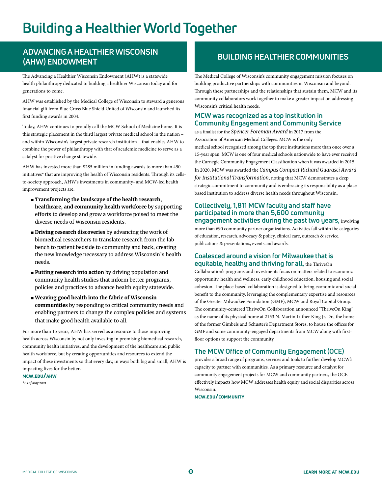# **Building a Healthier World Together**

### **ADVANCING A HEALTHIER WISCONSIN (AHW) ENDOWMENT BUILDING HEALTHIER COMMUNITIES**

The Advancing a Healthier Wisconsin Endowment (AHW) is a statewide health philanthropy dedicated to building a healthier Wisconsin today and for generations to come.

AHW was established by the Medical College of Wisconsin to steward a generous financial gift from Blue Cross Blue Shield United of Wisconsin and launched its first funding awards in 2004.

Today, AHW continues to proudly call the MCW School of Medicine home. It is this strategic placement in the third largest private medical school in the nation – and within Wisconsin's largest private research institution – that enables AHW to combine the power of philanthropy with that of academic medicine to serve as a catalyst for positive change statewide.

AHW has invested more than \$285 million in funding awards to more than 490 initiatives\* that are improving the health of Wisconsin residents. Through its cellsto-society approach, AHW's investments in community- and MCW-led health improvement projects are:

- **Transforming the landscape of the health research, healthcare, and community health workforce** by supporting efforts to develop and grow a workforce poised to meet the diverse needs of Wisconsin residents.
- **Driving research discoveries** by advancing the work of biomedical researchers to translate research from the lab bench to patient bedside to community and back, creating the new knowledge necessary to address Wisconsin's health needs.
- **Putting research into action** by driving population and community health studies that inform better programs, policies and practices to advance health equity statewide.
- **Weaving good health into the fabric of Wisconsin communities** by responding to critical community needs and enabling partners to change the complex policies and systems that make good health available to all.

For more than 15 years, AHW has served as a resource to those improving health across Wisconsin by not only investing in promising biomedical research, community health initiatives, and the development of the healthcare and public health workforce, but by creating opportunities and resources to extend the impact of these investments so that every day, in ways both big and small, AHW is impacting lives for the better*.*

### mcw.edu/ahw

*\*As of May 2021*

The Medical College of Wisconsin's community engagement mission focuses on building productive partnerships with communities in Wisconsin and beyond. Through these partnerships and the relationships that sustain them, MCW and its community collaborators work together to make a greater impact on addressing Wisconsin's critical health needs.

### **MCW was recognized as a top institution in Community Engagement and Community Service**

as a finalist for the *Spencer Foreman Award* in 2017 from the Association of American Medical Colleges. MCW is the only medical school recognized among the top three institutions more than once over a 15-year span. MCW is one of four medical schools nationwide to have ever received the Carnegie Community Engagement Classification when it was awarded in 2015. In 2020, MCW was awarded the *Campus Compact Richard Guarasci Award for Institutional Transformation*, noting that MCW demonstrates a deep strategic commitment to community and is embracing its responsibility as a placebased institution to address diverse health needs throughout Wisconsin.

### **Collectively, 1,811 MCW faculty and staff have participated in more than 5,600 community engagement activities during the past two years,** involving

more than 690 community partner organizations. Activities fall within the categories of education, research, advocacy & policy, clinical care, outreach & service, publications & presentations, events and awards.

#### **Coalesced around a vision for Milwaukee that is equitable, healthy and thriving for all,** the ThriveOn

Collaboration's programs and investments focus on matters related to economic opportunity, health and wellness, early childhood education, housing and social cohesion. The place-based collaboration is designed to bring economic and social benefit to the community, leveraging the complementary expertise and resources of the Greater Milwaukee Foundation (GMF), MCW and Royal Capital Group. The community-centered ThriveOn Collaboration announced "ThriveOn King" as the name of its physical home at 2153 N. Martin Luther King Jr. Dr., the home of the former Gimbels and Schuster's Department Stores, to house the offices for GMF and some community-engaged departments from MCW along with firstfloor options to support the community.

### **The MCW Office of Community Engagement (OCE)**

provides a broad range of programs, services and tools to further develop MCW's capacity to partner with communities. As a primary resource and catalyst for community engagement projects for MCW and community partners, the OCE effectively impacts how MCW addresses health equity and social disparities across Wisconsin.

mcw.edu/community